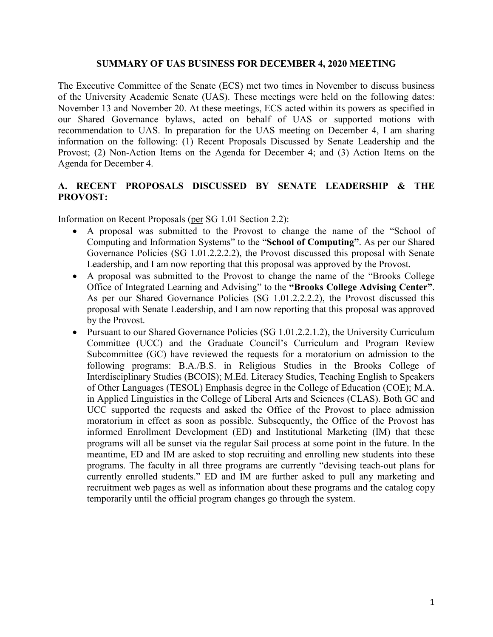## **SUMMARY OF UAS BUSINESS FOR DECEMBER 4, 2020 MEETING**

The Executive Committee of the Senate (ECS) met two times in November to discuss business of the University Academic Senate (UAS). These meetings were held on the following dates: November 13 and November 20. At these meetings, ECS acted within its powers as specified in our Shared Governance bylaws, acted on behalf of UAS or supported motions with recommendation to UAS. In preparation for the UAS meeting on December 4, I am sharing information on the following: (1) Recent Proposals Discussed by Senate Leadership and the Provost; (2) Non-Action Items on the Agenda for December 4; and (3) Action Items on the Agenda for December 4.

## **A. RECENT PROPOSALS DISCUSSED BY SENATE LEADERSHIP & THE PROVOST:**

Information on Recent Proposals [\(per](https://www.gvsu.edu/policies/policy.htm?policyId=3BE4D7D6-F74C-23A7-311B867FBDBE4500&search=acting+on+behalf+of+UAS) SG 1.01 Section 2.2):

- A proposal was submitted to the Provost to change the name of the "School of Computing and Information Systems" to the "**School of Computing"**. As per our Shared Governance Policies (SG 1.01.2.2.2.2), the Provost discussed this proposal with Senate Leadership, and I am now reporting that this proposal was approved by the Provost.
- A proposal was submitted to the Provost to change the name of the "Brooks College Office of Integrated Learning and Advising" to the **"Brooks College Advising Center"**. As per our Shared Governance Policies (SG 1.01.2.2.2.2), the Provost discussed this proposal with Senate Leadership, and I am now reporting that this proposal was approved by the Provost.
- Pursuant to our Shared Governance Policies (SG 1.01.2.2.1.2), the University Curriculum Committee (UCC) and the Graduate Council's Curriculum and Program Review Subcommittee (GC) have reviewed the requests for a moratorium on admission to the following programs: B.A./B.S. in Religious Studies in the Brooks College of Interdisciplinary Studies (BCOIS); M.Ed. Literacy Studies, Teaching English to Speakers of Other Languages (TESOL) Emphasis degree in the College of Education (COE); M.A. in Applied Linguistics in the College of Liberal Arts and Sciences (CLAS). Both GC and UCC supported the requests and asked the Office of the Provost to place admission moratorium in effect as soon as possible. Subsequently, the Office of the Provost has informed Enrollment Development (ED) and Institutional Marketing (IM) that these programs will all be sunset via the regular Sail process at some point in the future. In the meantime, ED and IM are asked to stop recruiting and enrolling new students into these programs. The faculty in all three programs are currently "devising teach-out plans for currently enrolled students." ED and IM are further asked to pull any marketing and recruitment web pages as well as information about these programs and the catalog copy temporarily until the official program changes go through the system.